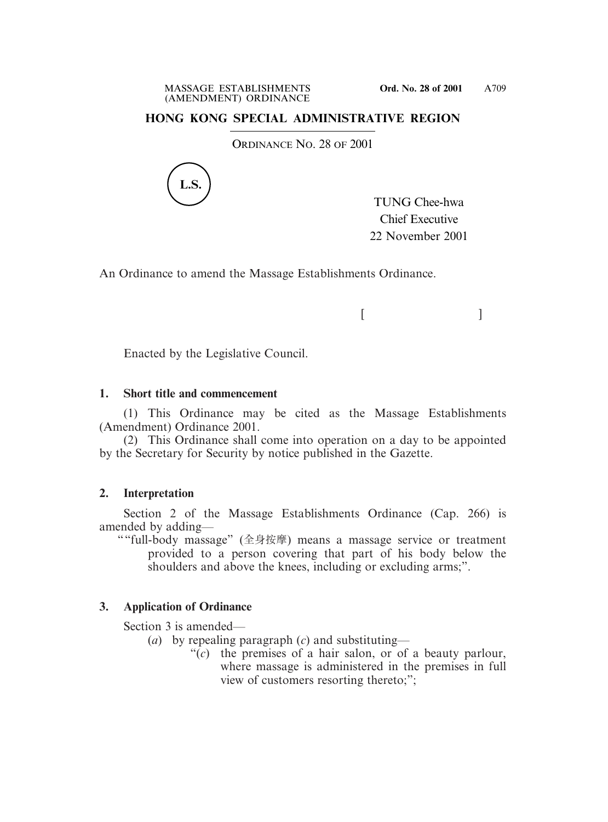## **HONG KONG SPECIAL ADMINISTRATIVE REGION**

ORDINANCE NO. 28 OF 2001



TUNG Chee-hwa Chief Executive 22 November 2001

 $[$   $]$ 

An Ordinance to amend the Massage Establishments Ordinance.

Enacted by the Legislative Council.

#### **1. Short title and commencement**

(1) This Ordinance may be cited as the Massage Establishments (Amendment) Ordinance 2001.

(2) This Ordinance shall come into operation on a day to be appointed by the Secretary for Security by notice published in the Gazette.

### **2. Interpretation**

Section 2 of the Massage Establishments Ordinance (Cap. 266) is amended by adding—

""full-body massage" (全身按摩) means a massage service or treatment provided to a person covering that part of his body below the shoulders and above the knees, including or excluding arms;".

# **3. Application of Ordinance**

Section 3 is amended—

- (*a*) by repealing paragraph (*c*) and substituting—
	- "(*c*) the premises of a hair salon, or of a beauty parlour, where massage is administered in the premises in full view of customers resorting thereto;";